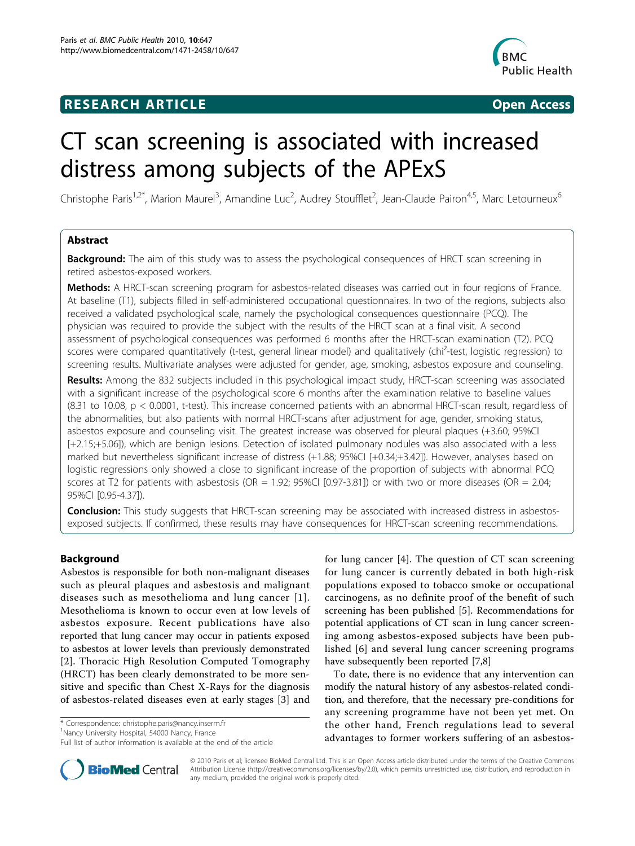# **RESEARCH ARTICLE CONSUMING ACCESS**



# CT scan screening is associated with increased distress among subjects of the APExS

Christophe Paris<sup>1,2\*</sup>, Marion Maurel<sup>3</sup>, Amandine Luc<sup>2</sup>, Audrey Stoufflet<sup>2</sup>, Jean-Claude Pairon<sup>4,5</sup>, Marc Letourneux<sup>6</sup>

# Abstract

**Background:** The aim of this study was to assess the psychological consequences of HRCT scan screening in retired asbestos-exposed workers.

Methods: A HRCT-scan screening program for asbestos-related diseases was carried out in four regions of France. At baseline (T1), subjects filled in self-administered occupational questionnaires. In two of the regions, subjects also received a validated psychological scale, namely the psychological consequences questionnaire (PCQ). The physician was required to provide the subject with the results of the HRCT scan at a final visit. A second assessment of psychological consequences was performed 6 months after the HRCT-scan examination (T2). PCQ scores were compared quantitatively (t-test, general linear model) and qualitatively (chi²-test, logistic regression) to screening results. Multivariate analyses were adjusted for gender, age, smoking, asbestos exposure and counseling.

Results: Among the 832 subjects included in this psychological impact study, HRCT-scan screening was associated with a significant increase of the psychological score 6 months after the examination relative to baseline values (8.31 to 10.08, p < 0.0001, t-test). This increase concerned patients with an abnormal HRCT-scan result, regardless of the abnormalities, but also patients with normal HRCT-scans after adjustment for age, gender, smoking status, asbestos exposure and counseling visit. The greatest increase was observed for pleural plaques (+3.60; 95%CI [+2.15;+5.06]), which are benign lesions. Detection of isolated pulmonary nodules was also associated with a less marked but nevertheless significant increase of distress (+1.88; 95%CI [+0.34;+3.42]). However, analyses based on logistic regressions only showed a close to significant increase of the proportion of subjects with abnormal PCQ scores at T2 for patients with asbestosis (OR = 1.92; 95%CI [0.97-3.81]) or with two or more diseases (OR = 2.04; 95%CI [0.95-4.37]).

**Conclusion:** This study suggests that HRCT-scan screening may be associated with increased distress in asbestosexposed subjects. If confirmed, these results may have consequences for HRCT-scan screening recommendations.

# Background

Asbestos is responsible for both non-malignant diseases such as pleural plaques and asbestosis and malignant diseases such as mesothelioma and lung cancer [[1\]](#page-8-0). Mesothelioma is known to occur even at low levels of asbestos exposure. Recent publications have also reported that lung cancer may occur in patients exposed to asbestos at lower levels than previously demonstrated [[2](#page-8-0)]. Thoracic High Resolution Computed Tomography (HRCT) has been clearly demonstrated to be more sensitive and specific than Chest X-Rays for the diagnosis of asbestos-related diseases even at early stages [[3\]](#page-8-0) and

\* Correspondence: [christophe.paris@nancy.inserm.fr](mailto:christophe.paris@nancy.inserm.fr)

<sup>1</sup>Nancy University Hospital, 54000 Nancy, France

for lung cancer [[4\]](#page-8-0). The question of CT scan screening for lung cancer is currently debated in both high-risk populations exposed to tobacco smoke or occupational carcinogens, as no definite proof of the benefit of such screening has been published [\[5](#page-8-0)]. Recommendations for potential applications of CT scan in lung cancer screening among asbestos-exposed subjects have been published [[6\]](#page-8-0) and several lung cancer screening programs have subsequently been reported [[7,8\]](#page-8-0)

To date, there is no evidence that any intervention can modify the natural history of any asbestos-related condition, and therefore, that the necessary pre-conditions for any screening programme have not been yet met. On the other hand, French regulations lead to several advantages to former workers suffering of an asbestos-



© 2010 Paris et al; licensee BioMed Central Ltd. This is an Open Access article distributed under the terms of the Creative Commons Attribution License [\(http://creativecommons.org/licenses/by/2.0](http://creativecommons.org/licenses/by/2.0)), which permits unrestricted use, distribution, and reproduction in any medium, provided the original work is properly cited.

Full list of author information is available at the end of the article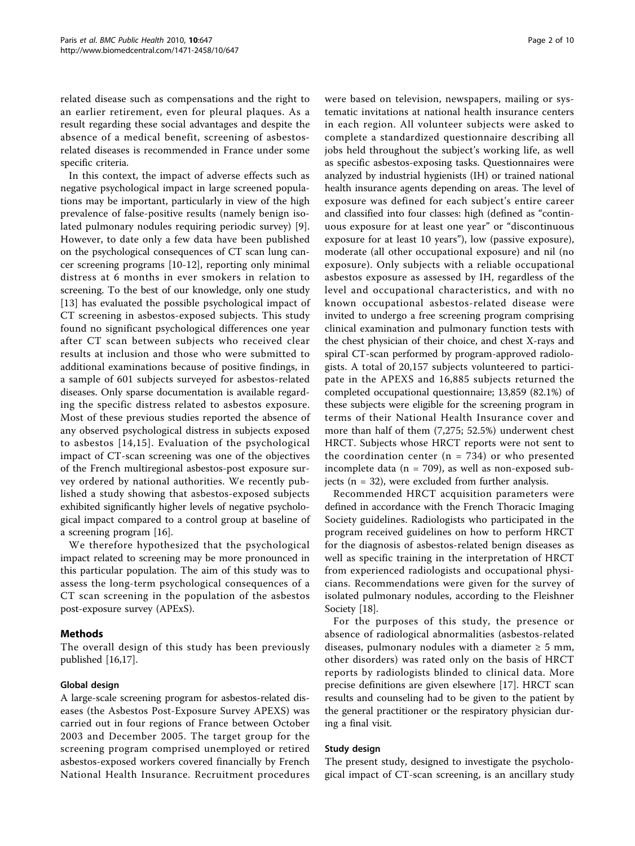related disease such as compensations and the right to an earlier retirement, even for pleural plaques. As a result regarding these social advantages and despite the absence of a medical benefit, screening of asbestosrelated diseases is recommended in France under some specific criteria.

In this context, the impact of adverse effects such as negative psychological impact in large screened populations may be important, particularly in view of the high prevalence of false-positive results (namely benign isolated pulmonary nodules requiring periodic survey) [\[9](#page-8-0)]. However, to date only a few data have been published on the psychological consequences of CT scan lung cancer screening programs [\[10](#page-8-0)-[12\]](#page-8-0), reporting only minimal distress at 6 months in ever smokers in relation to screening. To the best of our knowledge, only one study [[13](#page-8-0)] has evaluated the possible psychological impact of CT screening in asbestos-exposed subjects. This study found no significant psychological differences one year after CT scan between subjects who received clear results at inclusion and those who were submitted to additional examinations because of positive findings, in a sample of 601 subjects surveyed for asbestos-related diseases. Only sparse documentation is available regarding the specific distress related to asbestos exposure. Most of these previous studies reported the absence of any observed psychological distress in subjects exposed to asbestos [[14](#page-8-0),[15](#page-8-0)]. Evaluation of the psychological impact of CT-scan screening was one of the objectives of the French multiregional asbestos-post exposure survey ordered by national authorities. We recently published a study showing that asbestos-exposed subjects exhibited significantly higher levels of negative psychological impact compared to a control group at baseline of a screening program [\[16](#page-8-0)].

We therefore hypothesized that the psychological impact related to screening may be more pronounced in this particular population. The aim of this study was to assess the long-term psychological consequences of a CT scan screening in the population of the asbestos post-exposure survey (APExS).

# Methods

The overall design of this study has been previously published [\[16,17\]](#page-8-0).

# Global design

A large-scale screening program for asbestos-related diseases (the Asbestos Post-Exposure Survey APEXS) was carried out in four regions of France between October 2003 and December 2005. The target group for the screening program comprised unemployed or retired asbestos-exposed workers covered financially by French National Health Insurance. Recruitment procedures were based on television, newspapers, mailing or systematic invitations at national health insurance centers in each region. All volunteer subjects were asked to complete a standardized questionnaire describing all jobs held throughout the subject's working life, as well as specific asbestos-exposing tasks. Questionnaires were analyzed by industrial hygienists (IH) or trained national health insurance agents depending on areas. The level of exposure was defined for each subject's entire career and classified into four classes: high (defined as "continuous exposure for at least one year" or "discontinuous exposure for at least 10 years"), low (passive exposure), moderate (all other occupational exposure) and nil (no exposure). Only subjects with a reliable occupational asbestos exposure as assessed by IH, regardless of the level and occupational characteristics, and with no known occupational asbestos-related disease were invited to undergo a free screening program comprising clinical examination and pulmonary function tests with the chest physician of their choice, and chest X-rays and spiral CT-scan performed by program-approved radiologists. A total of 20,157 subjects volunteered to participate in the APEXS and 16,885 subjects returned the completed occupational questionnaire; 13,859 (82.1%) of these subjects were eligible for the screening program in terms of their National Health Insurance cover and more than half of them (7,275; 52.5%) underwent chest HRCT. Subjects whose HRCT reports were not sent to the coordination center ( $n = 734$ ) or who presented incomplete data ( $n = 709$ ), as well as non-exposed subjects ( $n = 32$ ), were excluded from further analysis.

Recommended HRCT acquisition parameters were defined in accordance with the French Thoracic Imaging Society guidelines. Radiologists who participated in the program received guidelines on how to perform HRCT for the diagnosis of asbestos-related benign diseases as well as specific training in the interpretation of HRCT from experienced radiologists and occupational physicians. Recommendations were given for the survey of isolated pulmonary nodules, according to the Fleishner Society [\[18\]](#page-8-0).

For the purposes of this study, the presence or absence of radiological abnormalities (asbestos-related diseases, pulmonary nodules with a diameter  $\geq 5$  mm, other disorders) was rated only on the basis of HRCT reports by radiologists blinded to clinical data. More precise definitions are given elsewhere [[17](#page-8-0)]. HRCT scan results and counseling had to be given to the patient by the general practitioner or the respiratory physician during a final visit.

#### Study design

The present study, designed to investigate the psychological impact of CT-scan screening, is an ancillary study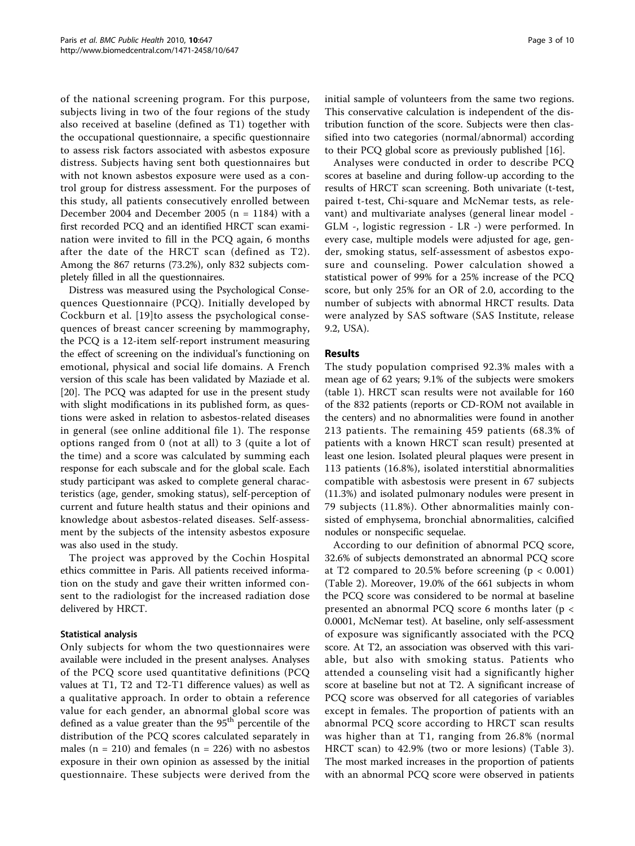of the national screening program. For this purpose, subjects living in two of the four regions of the study also received at baseline (defined as T1) together with the occupational questionnaire, a specific questionnaire to assess risk factors associated with asbestos exposure distress. Subjects having sent both questionnaires but with not known asbestos exposure were used as a control group for distress assessment. For the purposes of this study, all patients consecutively enrolled between December 2004 and December 2005 (n = 1184) with a first recorded PCQ and an identified HRCT scan examination were invited to fill in the PCQ again, 6 months after the date of the HRCT scan (defined as T2). Among the 867 returns (73.2%), only 832 subjects completely filled in all the questionnaires.

Distress was measured using the Psychological Consequences Questionnaire (PCQ). Initially developed by Cockburn et al. [[19\]](#page-8-0)to assess the psychological consequences of breast cancer screening by mammography, the PCQ is a 12-item self-report instrument measuring the effect of screening on the individual's functioning on emotional, physical and social life domains. A French version of this scale has been validated by Maziade et al. [[20\]](#page-8-0). The PCQ was adapted for use in the present study with slight modifications in its published form, as questions were asked in relation to asbestos-related diseases in general (see online additional file [1](#page-8-0)). The response options ranged from 0 (not at all) to 3 (quite a lot of the time) and a score was calculated by summing each response for each subscale and for the global scale. Each study participant was asked to complete general characteristics (age, gender, smoking status), self-perception of current and future health status and their opinions and knowledge about asbestos-related diseases. Self-assessment by the subjects of the intensity asbestos exposure was also used in the study.

The project was approved by the Cochin Hospital ethics committee in Paris. All patients received information on the study and gave their written informed consent to the radiologist for the increased radiation dose delivered by HRCT.

# Statistical analysis

Only subjects for whom the two questionnaires were available were included in the present analyses. Analyses of the PCQ score used quantitative definitions (PCQ values at T1, T2 and T2-T1 difference values) as well as a qualitative approach. In order to obtain a reference value for each gender, an abnormal global score was defined as a value greater than the  $95<sup>th</sup>$  percentile of the distribution of the PCQ scores calculated separately in males ( $n = 210$ ) and females ( $n = 226$ ) with no asbestos exposure in their own opinion as assessed by the initial questionnaire. These subjects were derived from the initial sample of volunteers from the same two regions. This conservative calculation is independent of the distribution function of the score. Subjects were then classified into two categories (normal/abnormal) according to their PCQ global score as previously published [\[16\]](#page-8-0).

Analyses were conducted in order to describe PCQ scores at baseline and during follow-up according to the results of HRCT scan screening. Both univariate (t-test, paired t-test, Chi-square and McNemar tests, as relevant) and multivariate analyses (general linear model - GLM -, logistic regression - LR -) were performed. In every case, multiple models were adjusted for age, gender, smoking status, self-assessment of asbestos exposure and counseling. Power calculation showed a statistical power of 99% for a 25% increase of the PCQ score, but only 25% for an OR of 2.0, according to the number of subjects with abnormal HRCT results. Data were analyzed by SAS software (SAS Institute, release 9.2, USA).

# Results

The study population comprised 92.3% males with a mean age of 62 years; 9.1% of the subjects were smokers (table [1\)](#page-3-0). HRCT scan results were not available for 160 of the 832 patients (reports or CD-ROM not available in the centers) and no abnormalities were found in another 213 patients. The remaining 459 patients (68.3% of patients with a known HRCT scan result) presented at least one lesion. Isolated pleural plaques were present in 113 patients (16.8%), isolated interstitial abnormalities compatible with asbestosis were present in 67 subjects (11.3%) and isolated pulmonary nodules were present in 79 subjects (11.8%). Other abnormalities mainly consisted of emphysema, bronchial abnormalities, calcified nodules or nonspecific sequelae.

According to our definition of abnormal PCQ score, 32.6% of subjects demonstrated an abnormal PCQ score at T2 compared to 20.5% before screening  $(p < 0.001)$ (Table [2](#page-4-0)). Moreover, 19.0% of the 661 subjects in whom the PCQ score was considered to be normal at baseline presented an abnormal PCQ score 6 months later (p < 0.0001, McNemar test). At baseline, only self-assessment of exposure was significantly associated with the PCQ score. At T2, an association was observed with this variable, but also with smoking status. Patients who attended a counseling visit had a significantly higher score at baseline but not at T2. A significant increase of PCQ score was observed for all categories of variables except in females. The proportion of patients with an abnormal PCQ score according to HRCT scan results was higher than at T1, ranging from 26.8% (normal HRCT scan) to 42.9% (two or more lesions) (Table [3](#page-4-0)). The most marked increases in the proportion of patients with an abnormal PCQ score were observed in patients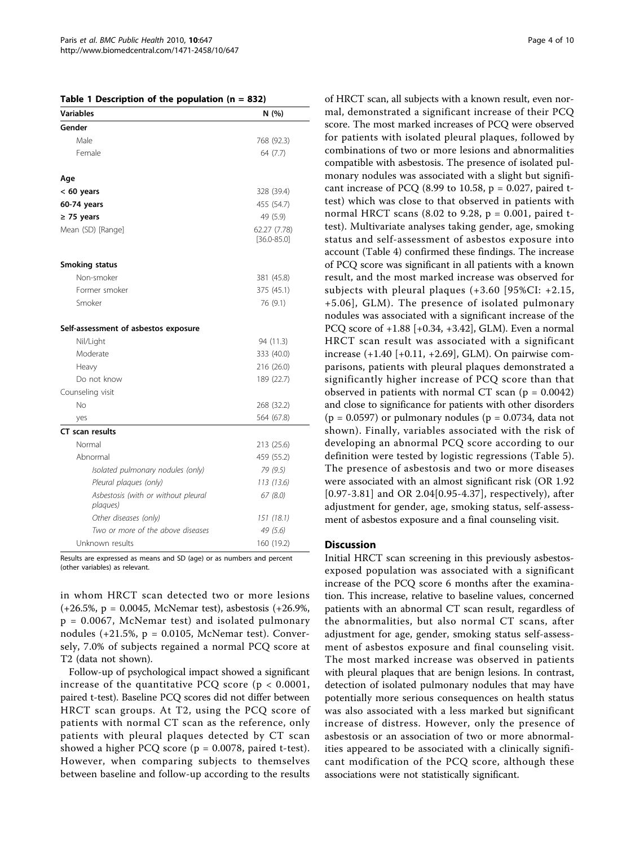<span id="page-3-0"></span>

|  | Table 1 Description of the population ( $n = 832$ ) |  |  |  |
|--|-----------------------------------------------------|--|--|--|
|--|-----------------------------------------------------|--|--|--|

| <b>Variables</b>                                | N(%)                            |
|-------------------------------------------------|---------------------------------|
| Gender                                          |                                 |
| Male                                            | 768 (92.3)                      |
| Female                                          | 64 (7.7)                        |
| Age                                             |                                 |
| $< 60$ years                                    | 328 (39.4)                      |
| 60-74 years                                     | 455 (54.7)                      |
| $\geq$ 75 years                                 | 49 (5.9)                        |
| Mean (SD) [Range]                               | 62.27 (7.78)<br>$[36.0 - 85.0]$ |
| Smoking status                                  |                                 |
| Non-smoker                                      | 381 (45.8)                      |
| Former smoker                                   | 375 (45.1)                      |
| Smoker                                          | 76 (9.1)                        |
| Self-assessment of asbestos exposure            |                                 |
| Nil/Light                                       | 94 (11.3)                       |
| Moderate                                        | 333 (40.0)                      |
| Heavy                                           | 216 (26.0)                      |
| Do not know                                     | 189 (22.7)                      |
| Counseling visit                                |                                 |
| No                                              | 268 (32.2)                      |
| yes                                             | 564 (67.8)                      |
| CT scan results                                 |                                 |
| Normal                                          | 213 (25.6)                      |
| Abnormal                                        | 459 (55.2)                      |
| Isolated pulmonary nodules (only)               | 79 (9.5)                        |
| Pleural plagues (only)                          | 113 (13.6)                      |
| Asbestosis (with or without pleural<br>plaques) | 67(8.0)                         |
| Other diseases (only)                           | 151 (18.1)                      |
| Two or more of the above diseases               | 49 (5.6)                        |
| Unknown results                                 | 160 (19.2)                      |

Results are expressed as means and SD (age) or as numbers and percent (other variables) as relevant.

in whom HRCT scan detected two or more lesions  $(+26.5\%, p = 0.0045, \text{McNemar test})$ , asbestosis  $(+26.9\%,$  $p = 0.0067$ , McNemar test) and isolated pulmonary nodules  $(+21.5\% , p = 0.0105,$  McNemar test). Conversely, 7.0% of subjects regained a normal PCQ score at T2 (data not shown).

Follow-up of psychological impact showed a significant increase of the quantitative PCQ score ( $p < 0.0001$ , paired t-test). Baseline PCQ scores did not differ between HRCT scan groups. At T2, using the PCQ score of patients with normal CT scan as the reference, only patients with pleural plaques detected by CT scan showed a higher PCQ score ( $p = 0.0078$ , paired t-test). However, when comparing subjects to themselves between baseline and follow-up according to the results

of HRCT scan, all subjects with a known result, even normal, demonstrated a significant increase of their PCQ score. The most marked increases of PCQ were observed for patients with isolated pleural plaques, followed by combinations of two or more lesions and abnormalities compatible with asbestosis. The presence of isolated pulmonary nodules was associated with a slight but significant increase of PCQ  $(8.99 \text{ to } 10.58, p = 0.027, \text{ paired } t$ test) which was close to that observed in patients with normal HRCT scans (8.02 to 9.28,  $p = 0.001$ , paired ttest). Multivariate analyses taking gender, age, smoking status and self-assessment of asbestos exposure into account (Table [4\)](#page-5-0) confirmed these findings. The increase of PCQ score was significant in all patients with a known result, and the most marked increase was observed for subjects with pleural plaques (+3.60 [95%CI: +2.15, +5.06], GLM). The presence of isolated pulmonary nodules was associated with a significant increase of the PCQ score of +1.88 [+0.34, +3.42], GLM). Even a normal HRCT scan result was associated with a significant increase (+1.40 [+0.11, +2.69], GLM). On pairwise comparisons, patients with pleural plaques demonstrated a significantly higher increase of PCQ score than that observed in patients with normal CT scan  $(p = 0.0042)$ and close to significance for patients with other disorders  $(p = 0.0597)$  or pulmonary nodules  $(p = 0.0734, \text{ data not})$ shown). Finally, variables associated with the risk of developing an abnormal PCQ score according to our definition were tested by logistic regressions (Table [5](#page-6-0)). The presence of asbestosis and two or more diseases were associated with an almost significant risk (OR 1.92 [0.97-3.81] and OR 2.04[0.95-4.37], respectively), after adjustment for gender, age, smoking status, self-assessment of asbestos exposure and a final counseling visit.

#### **Discussion**

Initial HRCT scan screening in this previously asbestosexposed population was associated with a significant increase of the PCQ score 6 months after the examination. This increase, relative to baseline values, concerned patients with an abnormal CT scan result, regardless of the abnormalities, but also normal CT scans, after adjustment for age, gender, smoking status self-assessment of asbestos exposure and final counseling visit. The most marked increase was observed in patients with pleural plaques that are benign lesions. In contrast, detection of isolated pulmonary nodules that may have potentially more serious consequences on health status was also associated with a less marked but significant increase of distress. However, only the presence of asbestosis or an association of two or more abnormalities appeared to be associated with a clinically significant modification of the PCQ score, although these associations were not statistically significant.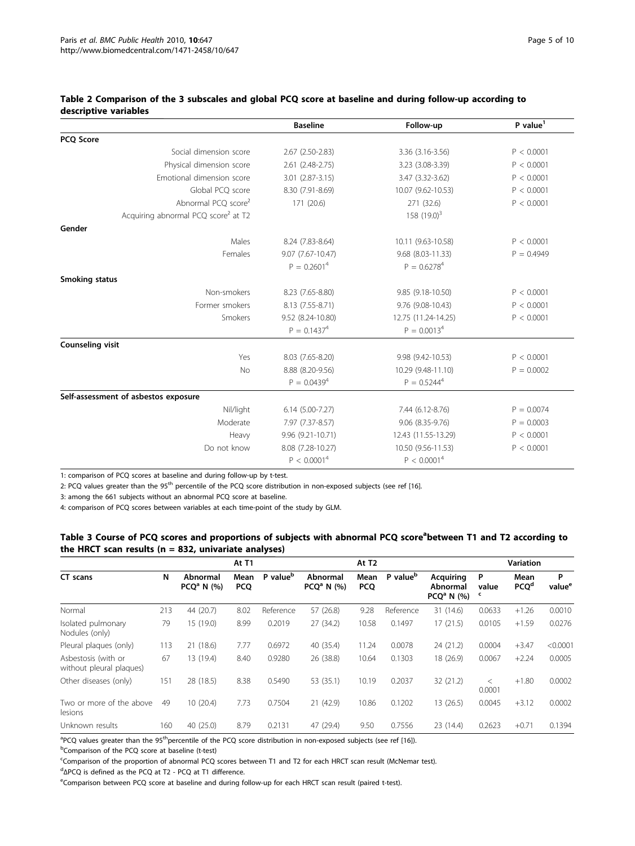|                                                 | <b>Baseline</b>         | Follow-up               | P value <sup>1</sup> |
|-------------------------------------------------|-------------------------|-------------------------|----------------------|
| PCQ Score                                       |                         |                         |                      |
| Social dimension score                          | 2.67 (2.50-2.83)        | 3.36 (3.16-3.56)        | P < 0.0001           |
| Physical dimension score                        | 2.61 (2.48-2.75)        | 3.23 (3.08-3.39)        | P < 0.0001           |
| Emotional dimension score                       | 3.01 (2.87-3.15)        | 3.47 (3.32-3.62)        | P < 0.0001           |
| Global PCQ score                                | 8.30 (7.91-8.69)        | 10.07 (9.62-10.53)      | P < 0.0001           |
| Abnormal PCQ score <sup>2</sup>                 | 171 (20.6)              | 271 (32.6)              | P < 0.0001           |
| Acquiring abnormal PCQ score <sup>2</sup> at T2 |                         | 158 $(19.0)^3$          |                      |
| Gender                                          |                         |                         |                      |
| Males                                           | 8.24 (7.83-8.64)        | 10.11 (9.63-10.58)      | P < 0.0001           |
| Females                                         | 9.07 (7.67-10.47)       | 9.68 (8.03-11.33)       | $P = 0.4949$         |
|                                                 | $P = 0.26014$           | $P = 0.6278^{4}$        |                      |
| Smoking status                                  |                         |                         |                      |
| Non-smokers                                     | 8.23 (7.65-8.80)        | 9.85 (9.18-10.50)       | P < 0.0001           |
| Former smokers                                  | 8.13 (7.55-8.71)        | 9.76 (9.08-10.43)       | P < 0.0001           |
| Smokers                                         | 9.52 (8.24-10.80)       | 12.75 (11.24-14.25)     | P < 0.0001           |
|                                                 | $P = 0.14374$           | $P = 0.00134$           |                      |
| Counseling visit                                |                         |                         |                      |
| Yes                                             | 8.03 (7.65-8.20)        | 9.98 (9.42-10.53)       | P < 0.0001           |
| <b>No</b>                                       | 8.88 (8.20-9.56)        | 10.29 (9.48-11.10)      | $P = 0.0002$         |
|                                                 | $P = 0.0439^{4}$        | $P = 0.5244^{4}$        |                      |
| Self-assessment of asbestos exposure            |                         |                         |                      |
| Nil/light                                       | $6.14(5.00-7.27)$       | 7.44 (6.12-8.76)        | $P = 0.0074$         |
| Moderate                                        | 7.97 (7.37-8.57)        | 9.06 (8.35-9.76)        | $P = 0.0003$         |
| Heavy                                           | 9.96 (9.21-10.71)       | 12.43 (11.55-13.29)     | P < 0.0001           |
| Do not know                                     | 8.08 (7.28-10.27)       | 10.50 (9.56-11.53)      | P < 0.0001           |
|                                                 | P < 0.0001 <sup>4</sup> | P < 0.0001 <sup>4</sup> |                      |
|                                                 |                         |                         |                      |

#### <span id="page-4-0"></span>Table 2 Comparison of the 3 subscales and global PCQ score at baseline and during follow-up according to descriptive variables

1: comparison of PCQ scores at baseline and during follow-up by t-test.

2: PCQ values greater than the 95<sup>th</sup> percentile of the PCQ score distribution in non-exposed subjects (see ref [[16\]](#page-8-0).

3: among the 661 subjects without an abnormal PCQ score at baseline.

4: comparison of PCQ scores between variables at each time-point of the study by GLM.

# Table 3 Course of PCQ scores and proportions of subjects with abnormal PCQ score<sup>a</sup>between T1 and T2 according to the HRCT scan results ( $n = 832$ , univariate analyses)

|                                                 |             |                          | At T1              |                      |                          | At T <sub>2</sub>  |                      |                                              |                   | <b>Variation</b>         |                         |
|-------------------------------------------------|-------------|--------------------------|--------------------|----------------------|--------------------------|--------------------|----------------------|----------------------------------------------|-------------------|--------------------------|-------------------------|
| CT scans                                        | N           | Abnormal<br>$PCQa N$ (%) | Mean<br><b>PCO</b> | P value <sup>b</sup> | Abnormal<br>$PCQa N$ (%) | Mean<br><b>PCO</b> | P value <sup>b</sup> | <b>Acquiring</b><br>Abnormal<br>$PCQa N$ (%) | P<br>value        | Mean<br>PCQ <sup>d</sup> | P<br>value <sup>e</sup> |
| Normal                                          | 213         | 44 (20.7)                | 8.02               | Reference            | 57 (26.8)                | 9.28               | Reference            | 31 (14.6)                                    | 0.0633            | $+1.26$                  | 0.0010                  |
| Isolated pulmonary<br>Nodules (only)            | 79          | 15 (19.0)                | 8.99               | 0.2019               | 27 (34.2)                | 10.58              | 0.1497               | 17(21.5)                                     | 0.0105            | $+1.59$                  | 0.0276                  |
| Pleural plagues (only)                          | 113         | 21 (18.6)                | 7.77               | 0.6972               | 40 (35.4)                | 11.24              | 0.0078               | 24 (21.2)                                    | 0.0004            | $+3.47$                  | < 0.0001                |
| Asbestosis (with or<br>without pleural plaques) | 67          | 13 (19.4)                | 8.40               | 0.9280               | 26 (38.8)                | 10.64              | 0.1303               | 18 (26.9)                                    | 0.0067            | $+2.24$                  | 0.0005                  |
| Other diseases (only)                           | 151         | 28 (18.5)                | 8.38               | 0.5490               | 53 (35.1)                | 10.19              | 0.2037               | 32 (21.2)                                    | $\,<\,$<br>0.0001 | $+1.80$                  | 0.0002                  |
| Two or more of the above<br>lesions             | 49          | 10(20.4)                 | 7.73               | 0.7504               | 21 (42.9)                | 10.86              | 0.1202               | 13(26.5)                                     | 0.0045            | $+3.12$                  | 0.0002                  |
| Unknown results                                 | 160         | 40 (25.0)                | 8.79               | 0.2131               | 47 (29.4)                | 9.50               | 0.7556               | 23 (14.4)                                    | 0.2623            | $+0.71$                  | 0.1394                  |
|                                                 | <b>ALC:</b> |                          |                    |                      |                          |                    |                      |                                              |                   |                          |                         |

 ${}^{a}$ PCQ values greater than the 95<sup>th</sup>percentile of the PCQ score distribution in non-exposed subjects (see ref [\[16\]](#page-8-0)).

<sup>b</sup>Comparison of the PCQ score at baseline (t-test)

Comparison of the proportion of abnormal PCQ scores between T1 and T2 for each HRCT scan result (McNemar test).

d<sub>ΔPCQ</sub> is defined as the PCQ at T2 - PCQ at T1 difference.

<sup>e</sup>Comparison between PCQ score at baseline and during follow-up for each HRCT scan result (paired t-test).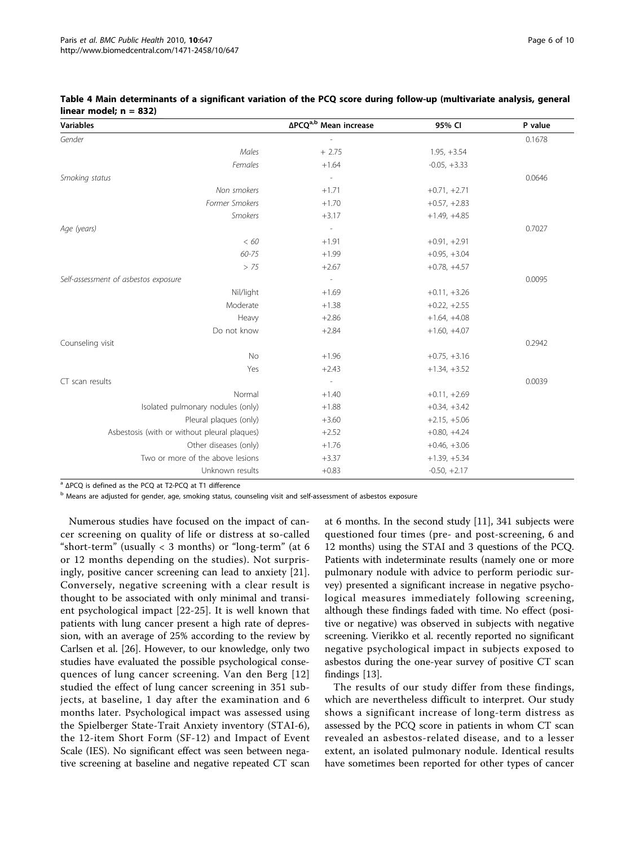| <b>Variables</b>                             | $\Delta \text{PCQ}^{\text{a},\text{b}}$ Mean increase | 95% CI         | P value |
|----------------------------------------------|-------------------------------------------------------|----------------|---------|
| Gender                                       |                                                       |                | 0.1678  |
| Males                                        | $+2.75$                                               | $1.95, +3.54$  |         |
| Females                                      | $+1.64$                                               | $-0.05, +3.33$ |         |
| Smoking status                               | $\overline{\phantom{a}}$                              |                | 0.0646  |
| Non smokers                                  | $+1.71$                                               | $+0.71, +2.71$ |         |
| Former Smokers                               | $+1.70$                                               | $+0.57, +2.83$ |         |
| Smokers                                      | $+3.17$                                               | $+1.49, +4.85$ |         |
| Age (years)                                  | $\overline{\phantom{a}}$                              |                | 0.7027  |
| < 60                                         | $+1.91$                                               | $+0.91, +2.91$ |         |
| 60-75                                        | $+1.99$                                               | $+0.95, +3.04$ |         |
| > 75                                         | $+2.67$                                               | $+0.78, +4.57$ |         |
| Self-assessment of asbestos exposure         |                                                       |                | 0.0095  |
| Nil/light                                    | $+1.69$                                               | $+0.11, +3.26$ |         |
| Moderate                                     | $+1.38$                                               | $+0.22, +2.55$ |         |
| Heavy                                        | $+2.86$                                               | $+1.64, +4.08$ |         |
| Do not know                                  | $+2.84$                                               | $+1.60, +4.07$ |         |
| Counseling visit                             |                                                       |                | 0.2942  |
| No                                           | $+1.96$                                               | $+0.75, +3.16$ |         |
| Yes                                          | $+2.43$                                               | $+1.34, +3.52$ |         |
| CT scan results                              | $\overline{\phantom{a}}$                              |                | 0.0039  |
| Normal                                       | $+1.40$                                               | $+0.11, +2.69$ |         |
| Isolated pulmonary nodules (only)            | $+1.88$                                               | $+0.34, +3.42$ |         |
| Pleural plaques (only)                       | $+3.60$                                               | $+2.15, +5.06$ |         |
| Asbestosis (with or without pleural plaques) | $+2.52$                                               | $+0.80, +4.24$ |         |
| Other diseases (only)                        | $+1.76$                                               | $+0.46, +3.06$ |         |
| Two or more of the above lesions             | $+3.37$                                               | $+1.39, +5.34$ |         |
| Unknown results                              | $+0.83$                                               | $-0.50, +2.17$ |         |
|                                              |                                                       |                |         |

#### <span id="page-5-0"></span>Table 4 Main determinants of a significant variation of the PCQ score during follow-up (multivariate analysis, general linear model;  $n = 832$ )

<sup>a</sup> ΔPCQ is defined as the PCQ at T2-PCQ at T1 difference

<sup>b</sup> Means are adjusted for gender, age, smoking status, counseling visit and self-assessment of asbestos exposure

Numerous studies have focused on the impact of cancer screening on quality of life or distress at so-called "short-term" (usually  $<$  3 months) or "long-term" (at 6 or 12 months depending on the studies). Not surprisingly, positive cancer screening can lead to anxiety [\[21](#page-8-0)]. Conversely, negative screening with a clear result is thought to be associated with only minimal and transient psychological impact [[22-25\]](#page-8-0). It is well known that patients with lung cancer present a high rate of depression, with an average of 25% according to the review by Carlsen et al. [\[26\]](#page-8-0). However, to our knowledge, only two studies have evaluated the possible psychological consequences of lung cancer screening. Van den Berg [[12](#page-8-0)] studied the effect of lung cancer screening in 351 subjects, at baseline, 1 day after the examination and 6 months later. Psychological impact was assessed using the Spielberger State-Trait Anxiety inventory (STAI-6), the 12-item Short Form (SF-12) and Impact of Event Scale (IES). No significant effect was seen between negative screening at baseline and negative repeated CT scan at 6 months. In the second study [[11](#page-8-0)], 341 subjects were questioned four times (pre- and post-screening, 6 and 12 months) using the STAI and 3 questions of the PCQ. Patients with indeterminate results (namely one or more pulmonary nodule with advice to perform periodic survey) presented a significant increase in negative psychological measures immediately following screening, although these findings faded with time. No effect (positive or negative) was observed in subjects with negative screening. Vierikko et al. recently reported no significant negative psychological impact in subjects exposed to asbestos during the one-year survey of positive CT scan findings [\[13](#page-8-0)].

The results of our study differ from these findings, which are nevertheless difficult to interpret. Our study shows a significant increase of long-term distress as assessed by the PCQ score in patients in whom CT scan revealed an asbestos-related disease, and to a lesser extent, an isolated pulmonary nodule. Identical results have sometimes been reported for other types of cancer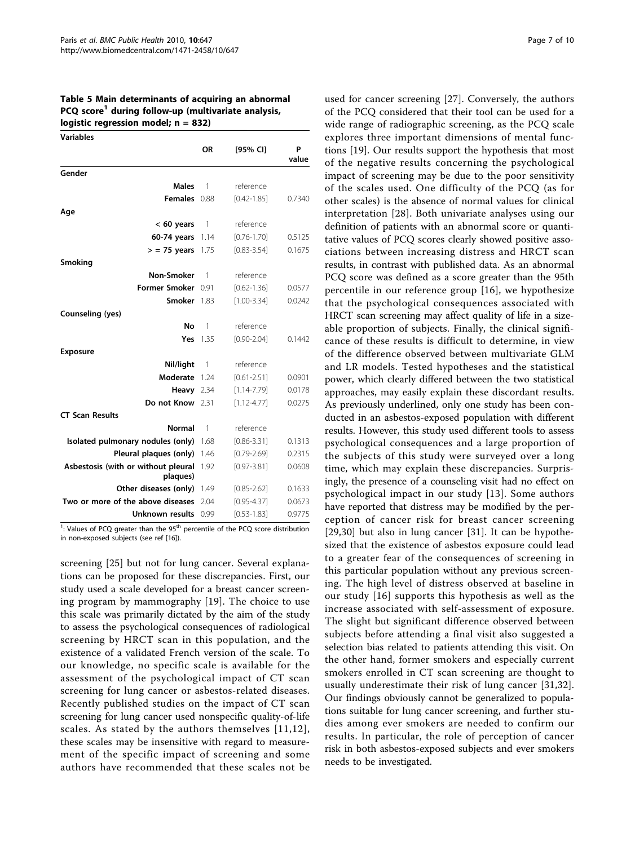#### <span id="page-6-0"></span>Table 5 Main determinants of acquiring an abnormal  $PCQ score<sup>1</sup>$  during follow-up (multivariate analysis, logistic regression model;  $n = 832$ )

| <b>Variables</b>                                |      |                 |            |
|-------------------------------------------------|------|-----------------|------------|
|                                                 | OR   | [95% CI]        | P<br>value |
| Gender                                          |      |                 |            |
| Males                                           | 1    | reference       |            |
| <b>Females</b>                                  | 0.88 | $[0.42 - 1.85]$ | 0.7340     |
| Age                                             |      |                 |            |
| $< 60$ years                                    | 1    | reference       |            |
| 60-74 years                                     | 1.14 | $[0.76 - 1.70]$ | 0.5125     |
| $>$ = 75 years                                  | 1.75 | $[0.83 - 3.54]$ | 0.1675     |
| Smoking                                         |      |                 |            |
| <b>Non-Smoker</b>                               | 1    | reference       |            |
| <b>Former Smoker</b>                            | 0.91 | $[0.62 - 1.36]$ | 0.0577     |
| Smoker                                          | 1.83 | $[1.00 - 3.34]$ | 0.0242     |
| Counseling (yes)                                |      |                 |            |
| No                                              | 1    | reference       |            |
| Yes                                             | 1.35 | $[0.90 - 2.04]$ | 0.1442     |
| <b>Exposure</b>                                 |      |                 |            |
| Nil/light                                       | 1    | reference       |            |
| Moderate                                        | 1.24 | $[0.61 - 2.51]$ | 0.0901     |
| Heavy                                           | 2.34 | $[1.14 - 7.79]$ | 0.0178     |
| Do not Know                                     | 2.31 | $[1.12 - 4.77]$ | 0.0275     |
| <b>CT Scan Results</b>                          |      |                 |            |
| Normal                                          | 1    | reference       |            |
| Isolated pulmonary nodules (only)               | 1.68 | $[0.86 - 3.31]$ | 0.1313     |
| Pleural plaques (only)                          | 1.46 | $[0.79 - 2.69]$ | 0.2315     |
| Asbestosis (with or without pleural<br>plaques) | 1.92 | $[0.97 - 3.81]$ | 0.0608     |
| Other diseases (only)                           | 1.49 | $[0.85 - 2.62]$ | 0.1633     |
| Two or more of the above diseases               | 2.04 | $[0.95 - 4.37]$ | 0.0673     |
| Unknown results                                 | 0.99 | $[0.53 - 1.83]$ | 0.9775     |

<sup>1</sup>: Values of PCQ greater than the 95<sup>th</sup> percentile of the PCQ score distribution in non-exposed subjects (see ref [\[16\]](#page-8-0)).

screening [[25](#page-8-0)] but not for lung cancer. Several explanations can be proposed for these discrepancies. First, our study used a scale developed for a breast cancer screening program by mammography [\[19](#page-8-0)]. The choice to use this scale was primarily dictated by the aim of the study to assess the psychological consequences of radiological screening by HRCT scan in this population, and the existence of a validated French version of the scale. To our knowledge, no specific scale is available for the assessment of the psychological impact of CT scan screening for lung cancer or asbestos-related diseases. Recently published studies on the impact of CT scan screening for lung cancer used nonspecific quality-of-life scales. As stated by the authors themselves [[11,12\]](#page-8-0), these scales may be insensitive with regard to measurement of the specific impact of screening and some authors have recommended that these scales not be used for cancer screening [[27\]](#page-8-0). Conversely, the authors of the PCQ considered that their tool can be used for a wide range of radiographic screening, as the PCQ scale explores three important dimensions of mental functions [\[19](#page-8-0)]. Our results support the hypothesis that most of the negative results concerning the psychological impact of screening may be due to the poor sensitivity of the scales used. One difficulty of the PCQ (as for other scales) is the absence of normal values for clinical interpretation [[28\]](#page-8-0). Both univariate analyses using our definition of patients with an abnormal score or quantitative values of PCQ scores clearly showed positive associations between increasing distress and HRCT scan results, in contrast with published data. As an abnormal PCQ score was defined as a score greater than the 95th percentile in our reference group [[16\]](#page-8-0), we hypothesize that the psychological consequences associated with HRCT scan screening may affect quality of life in a sizeable proportion of subjects. Finally, the clinical significance of these results is difficult to determine, in view of the difference observed between multivariate GLM and LR models. Tested hypotheses and the statistical power, which clearly differed between the two statistical approaches, may easily explain these discordant results. As previously underlined, only one study has been conducted in an asbestos-exposed population with different results. However, this study used different tools to assess psychological consequences and a large proportion of the subjects of this study were surveyed over a long time, which may explain these discrepancies. Surprisingly, the presence of a counseling visit had no effect on psychological impact in our study [\[13\]](#page-8-0). Some authors have reported that distress may be modified by the perception of cancer risk for breast cancer screening [[29](#page-8-0)[,30](#page-9-0)] but also in lung cancer [\[31](#page-9-0)]. It can be hypothesized that the existence of asbestos exposure could lead to a greater fear of the consequences of screening in this particular population without any previous screening. The high level of distress observed at baseline in our study [[16\]](#page-8-0) supports this hypothesis as well as the increase associated with self-assessment of exposure. The slight but significant difference observed between subjects before attending a final visit also suggested a selection bias related to patients attending this visit. On the other hand, former smokers and especially current smokers enrolled in CT scan screening are thought to usually underestimate their risk of lung cancer [[31,32](#page-9-0)]. Our findings obviously cannot be generalized to populations suitable for lung cancer screening, and further studies among ever smokers are needed to confirm our results. In particular, the role of perception of cancer risk in both asbestos-exposed subjects and ever smokers needs to be investigated.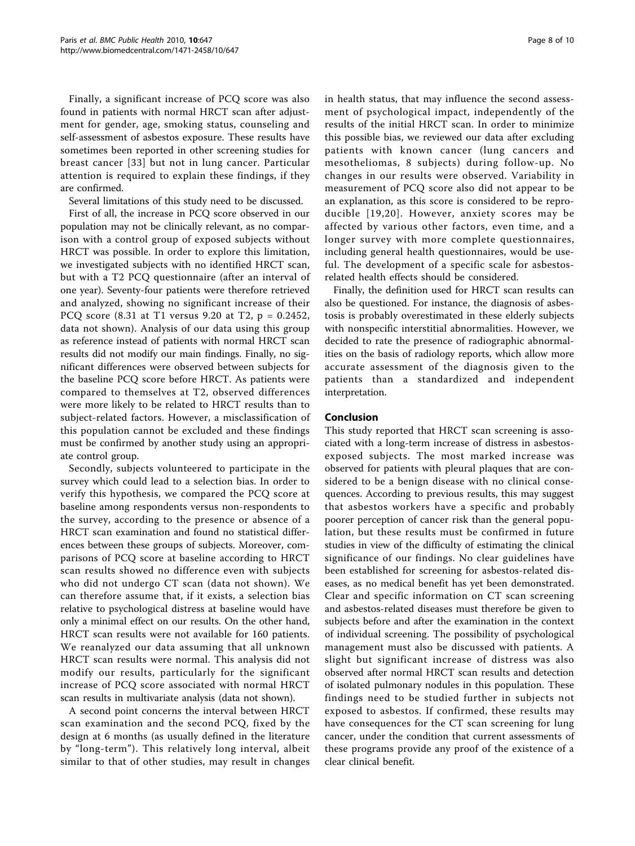Finally, a significant increase of PCQ score was also found in patients with normal HRCT scan after adjustment for gender, age, smoking status, counseling and self-assessment of asbestos exposure. These results have sometimes been reported in other screening studies for breast cancer [[33\]](#page-9-0) but not in lung cancer. Particular attention is required to explain these findings, if they are confirmed.

Several limitations of this study need to be discussed.

First of all, the increase in PCQ score observed in our population may not be clinically relevant, as no comparison with a control group of exposed subjects without HRCT was possible. In order to explore this limitation, we investigated subjects with no identified HRCT scan, but with a T2 PCQ questionnaire (after an interval of one year). Seventy-four patients were therefore retrieved and analyzed, showing no significant increase of their PCQ score (8.31 at T1 versus 9.20 at T2, p = 0.2452, data not shown). Analysis of our data using this group as reference instead of patients with normal HRCT scan results did not modify our main findings. Finally, no significant differences were observed between subjects for the baseline PCQ score before HRCT. As patients were compared to themselves at T2, observed differences were more likely to be related to HRCT results than to subject-related factors. However, a misclassification of this population cannot be excluded and these findings must be confirmed by another study using an appropriate control group.

Secondly, subjects volunteered to participate in the survey which could lead to a selection bias. In order to verify this hypothesis, we compared the PCQ score at baseline among respondents versus non-respondents to the survey, according to the presence or absence of a HRCT scan examination and found no statistical differences between these groups of subjects. Moreover, comparisons of PCQ score at baseline according to HRCT scan results showed no difference even with subjects who did not undergo CT scan (data not shown). We can therefore assume that, if it exists, a selection bias relative to psychological distress at baseline would have only a minimal effect on our results. On the other hand, HRCT scan results were not available for 160 patients. We reanalyzed our data assuming that all unknown HRCT scan results were normal. This analysis did not modify our results, particularly for the significant increase of PCQ score associated with normal HRCT scan results in multivariate analysis (data not shown).

A second point concerns the interval between HRCT scan examination and the second PCQ, fixed by the design at 6 months (as usually defined in the literature by "long-term"). This relatively long interval, albeit similar to that of other studies, may result in changes in health status, that may influence the second assessment of psychological impact, independently of the results of the initial HRCT scan. In order to minimize this possible bias, we reviewed our data after excluding patients with known cancer (lung cancers and mesotheliomas, 8 subjects) during follow-up. No changes in our results were observed. Variability in measurement of PCQ score also did not appear to be an explanation, as this score is considered to be reproducible [[19](#page-8-0),[20\]](#page-8-0). However, anxiety scores may be affected by various other factors, even time, and a longer survey with more complete questionnaires, including general health questionnaires, would be useful. The development of a specific scale for asbestosrelated health effects should be considered.

Finally, the definition used for HRCT scan results can also be questioned. For instance, the diagnosis of asbestosis is probably overestimated in these elderly subjects with nonspecific interstitial abnormalities. However, we decided to rate the presence of radiographic abnormalities on the basis of radiology reports, which allow more accurate assessment of the diagnosis given to the patients than a standardized and independent interpretation.

# Conclusion

This study reported that HRCT scan screening is associated with a long-term increase of distress in asbestosexposed subjects. The most marked increase was observed for patients with pleural plaques that are considered to be a benign disease with no clinical consequences. According to previous results, this may suggest that asbestos workers have a specific and probably poorer perception of cancer risk than the general population, but these results must be confirmed in future studies in view of the difficulty of estimating the clinical significance of our findings. No clear guidelines have been established for screening for asbestos-related diseases, as no medical benefit has yet been demonstrated. Clear and specific information on CT scan screening and asbestos-related diseases must therefore be given to subjects before and after the examination in the context of individual screening. The possibility of psychological management must also be discussed with patients. A slight but significant increase of distress was also observed after normal HRCT scan results and detection of isolated pulmonary nodules in this population. These findings need to be studied further in subjects not exposed to asbestos. If confirmed, these results may have consequences for the CT scan screening for lung cancer, under the condition that current assessments of these programs provide any proof of the existence of a clear clinical benefit.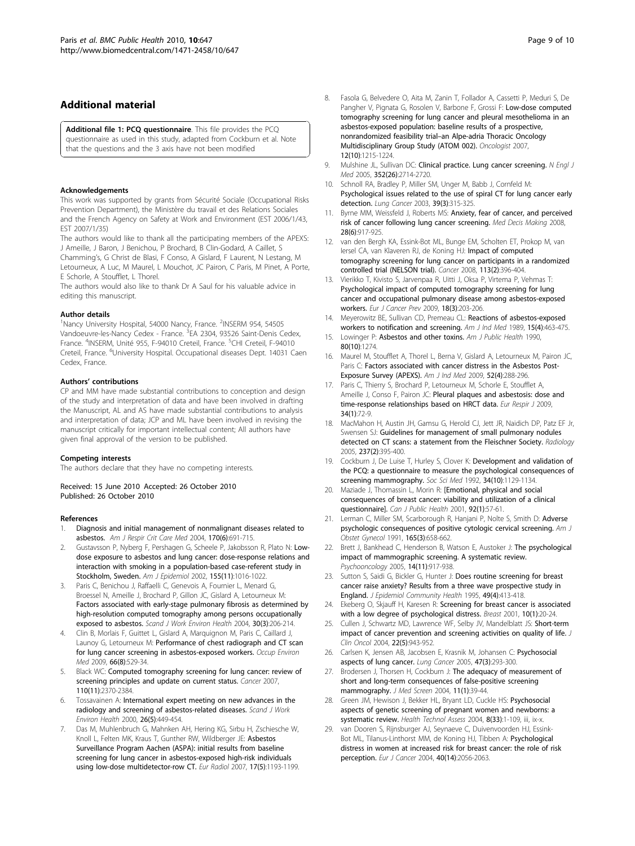# <span id="page-8-0"></span>Additional material

[Additional file 1: P](http://www.biomedcentral.com/content/supplementary/1471-2458-10-647-S1.DOC)CQ questionnaire. This file provides the PCQ questionnaire as used in this study, adapted from Cockburn et al. Note that the questions and the 3 axis have not been modified

#### Acknowledgements

This work was supported by grants from Sécurité Sociale (Occupational Risks Prevention Department), the Ministère du travail et des Relations Sociales and the French Agency on Safety at Work and Environment (EST 2006/1/43, EST 2007/1/35)

The authors would like to thank all the participating members of the APEXS: J Ameille, J Baron, J Benichou, P Brochard, B Clin-Godard, A Caillet, S Chamming's, G Christ de Blasi, F Conso, A Gislard, F Laurent, N Lestang, M Letourneux, A Luc, M Maurel, L Mouchot, JC Pairon, C Paris, M Pinet, A Porte, E Schorle, A Stoufflet, L Thorel.

The authors would also like to thank Dr A Saul for his valuable advice in editing this manuscript.

#### Author details

<sup>1</sup>Nancy University Hospital, 54000 Nancy, France. <sup>2</sup>INSERM 954, 54505 Vandoeuvre-les-Nancy Cedex - France. <sup>3</sup>EA 2304, 93526 Saint-Denis Cedex, France. <sup>4</sup>INSERM, Unité 955, F-94010 Creteil, France. <sup>5</sup>CHI Creteil, F-94010 Creteil, France. <sup>6</sup>University Hospital. Occupational diseases Dept. 14031 Caen Cedex, France.

#### Authors' contributions

CP and MM have made substantial contributions to conception and design of the study and interpretation of data and have been involved in drafting the Manuscript, AL and AS have made substantial contributions to analysis and interpretation of data; JCP and ML have been involved in revising the manuscript critically for important intellectual content; All authors have given final approval of the version to be published.

#### Competing interests

The authors declare that they have no competing interests.

Received: 15 June 2010 Accepted: 26 October 2010 Published: 26 October 2010

#### References

- 1. Diagnosis and initial management of nonmalignant diseases related to asbestos. Am J Respir Crit Care Med 2004, 170(6):691-715.
- 2. Gustavsson P, Nyberg F, Pershagen G, Scheele P, Jakobsson R, Plato N: [Low](http://www.ncbi.nlm.nih.gov/pubmed/12034580?dopt=Abstract)[dose exposure to asbestos and lung cancer: dose-response relations and](http://www.ncbi.nlm.nih.gov/pubmed/12034580?dopt=Abstract) [interaction with smoking in a population-based case-referent study in](http://www.ncbi.nlm.nih.gov/pubmed/12034580?dopt=Abstract) [Stockholm, Sweden.](http://www.ncbi.nlm.nih.gov/pubmed/12034580?dopt=Abstract) Am J Epidemiol 2002, 155(11):1016-1022.
- Paris C, Benichou J, Raffaelli C, Genevois A, Fournier L, Menard G, Broessel N, Ameille J, Brochard P, Gillon JC, Gislard A, Letourneux M: [Factors associated with early-stage pulmonary fibrosis as determined by](http://www.ncbi.nlm.nih.gov/pubmed/15250649?dopt=Abstract) [high-resolution computed tomography among persons occupationally](http://www.ncbi.nlm.nih.gov/pubmed/15250649?dopt=Abstract) [exposed to asbestos.](http://www.ncbi.nlm.nih.gov/pubmed/15250649?dopt=Abstract) Scand J Work Environ Health 2004, 30(3):206-214.
- 4. Clin B, Morlais F, Guittet L, Gislard A, Marquignon M, Paris C, Caillard J, Launoy G, Letourneux M: [Performance of chest radiograph and CT scan](http://www.ncbi.nlm.nih.gov/pubmed/19273475?dopt=Abstract) [for lung cancer screening in asbestos-exposed workers.](http://www.ncbi.nlm.nih.gov/pubmed/19273475?dopt=Abstract) Occup Environ Med 2009, 66(8):529-34.
- 5. Black WC: [Computed tomography screening for lung cancer: review of](http://www.ncbi.nlm.nih.gov/pubmed/17941031?dopt=Abstract) [screening principles and update on current status.](http://www.ncbi.nlm.nih.gov/pubmed/17941031?dopt=Abstract) Cancer 2007, 110(11):2370-2384.
- 6. Tossavainen A: [International expert meeting on new advances in the](http://www.ncbi.nlm.nih.gov/pubmed/11103845?dopt=Abstract) [radiology and screening of asbestos-related diseases.](http://www.ncbi.nlm.nih.gov/pubmed/11103845?dopt=Abstract) Scand J Work Environ Health 2000, 26(5):449-454.
- Das M, Muhlenbruch G, Mahnken AH, Hering KG, Sirbu H, Zschiesche W, Knoll L, Felten MK, Kraus T, Gunther RW, Wildberger JE: [Asbestos](http://www.ncbi.nlm.nih.gov/pubmed/17047960?dopt=Abstract) [Surveillance Program Aachen \(ASPA\): initial results from baseline](http://www.ncbi.nlm.nih.gov/pubmed/17047960?dopt=Abstract) [screening for lung cancer in asbestos-exposed high-risk individuals](http://www.ncbi.nlm.nih.gov/pubmed/17047960?dopt=Abstract) [using low-dose multidetector-row CT.](http://www.ncbi.nlm.nih.gov/pubmed/17047960?dopt=Abstract) Eur Radiol 2007, 17(5):1193-1199.
- 8. Fasola G, Belvedere O, Aita M, Zanin T, Follador A, Cassetti P, Meduri S, De Pangher V, Pignata G, Rosolen V, Barbone F, Grossi F: [Low-dose computed](http://www.ncbi.nlm.nih.gov/pubmed/17962615?dopt=Abstract) [tomography screening for lung cancer and pleural mesothelioma in an](http://www.ncbi.nlm.nih.gov/pubmed/17962615?dopt=Abstract) [asbestos-exposed population: baseline results of a prospective,](http://www.ncbi.nlm.nih.gov/pubmed/17962615?dopt=Abstract) nonrandomized feasibility trial–[an Alpe-adria Thoracic Oncology](http://www.ncbi.nlm.nih.gov/pubmed/17962615?dopt=Abstract) [Multidisciplinary Group Study \(ATOM 002\).](http://www.ncbi.nlm.nih.gov/pubmed/17962615?dopt=Abstract) Oncologist 2007, 12(10):1215-1224.
- 9. Mulshine JL, Sullivan DC: [Clinical practice. Lung cancer screening.](http://www.ncbi.nlm.nih.gov/pubmed/15987920?dopt=Abstract) N Engl J Med 2005, 352(26):2714-2720.
- 10. Schnoll RA, Bradley P, Miller SM, Unger M, Babb J, Cornfeld M: [Psychological issues related to the use of spiral CT for lung cancer early](http://www.ncbi.nlm.nih.gov/pubmed/12609570?dopt=Abstract) [detection.](http://www.ncbi.nlm.nih.gov/pubmed/12609570?dopt=Abstract) Lung Cancer 2003, 39(3):315-325.
- 11. Byrne MM, Weissfeld J, Roberts MS: [Anxiety, fear of cancer, and perceived](http://www.ncbi.nlm.nih.gov/pubmed/18725404?dopt=Abstract) [risk of cancer following lung cancer screening.](http://www.ncbi.nlm.nih.gov/pubmed/18725404?dopt=Abstract) Med Decis Making 2008, 28(6):917-925.
- 12. van den Bergh KA, Essink-Bot ML, Bunge EM, Scholten ET, Prokop M, van Iersel CA, van Klaveren RJ, de Koning HJ: [Impact of computed](http://www.ncbi.nlm.nih.gov/pubmed/18484588?dopt=Abstract) [tomography screening for lung cancer on participants in a randomized](http://www.ncbi.nlm.nih.gov/pubmed/18484588?dopt=Abstract) [controlled trial \(NELSON trial\).](http://www.ncbi.nlm.nih.gov/pubmed/18484588?dopt=Abstract) Cancer 2008, 113(2):396-404.
- 13. Vierikko T, Kivisto S, Jarvenpaa R, Uitti J, Oksa P, Virtema P, Vehmas T: [Psychological impact of computed tomography screening for lung](http://www.ncbi.nlm.nih.gov/pubmed/19728402?dopt=Abstract) [cancer and occupational pulmonary disease among asbestos-exposed](http://www.ncbi.nlm.nih.gov/pubmed/19728402?dopt=Abstract) [workers.](http://www.ncbi.nlm.nih.gov/pubmed/19728402?dopt=Abstract) Eur J Cancer Prev 2009, 18(3):203-206.
- 14. Meyerowitz BE, Sullivan CD, Premeau CL: [Reactions of asbestos-exposed](http://www.ncbi.nlm.nih.gov/pubmed/2729288?dopt=Abstract) [workers to notification and screening.](http://www.ncbi.nlm.nih.gov/pubmed/2729288?dopt=Abstract) Am J Ind Med 1989, 15(4):463-475.
- 15. Lowinger P: [Asbestos and other toxins.](http://www.ncbi.nlm.nih.gov/pubmed/2400048?dopt=Abstract) Am J Public Health 1990, 80(10):1274.
- 16. Maurel M, Stoufflet A, Thorel L, Berna V, Gislard A, Letourneux M, Pairon JC, Paris C: [Factors associated with cancer distress in the Asbestos Post-](http://www.ncbi.nlm.nih.gov/pubmed/19152347?dopt=Abstract)[Exposure Survey \(APEXS\).](http://www.ncbi.nlm.nih.gov/pubmed/19152347?dopt=Abstract) Am J Ind Med 2009, 52(4):288-296.
- 17. Paris C, Thierry S, Brochard P, Letourneux M, Schorle E, Stoufflet A, Ameille J, Conso F, Pairon JC: [Pleural plaques and asbestosis: dose and](http://www.ncbi.nlm.nih.gov/pubmed/19129281?dopt=Abstract) [time-response relationships based on HRCT data.](http://www.ncbi.nlm.nih.gov/pubmed/19129281?dopt=Abstract) Eur Respir J 2009, 34(1):72-9.
- 18. MacMahon H, Austin JH, Gamsu G, Herold CJ, Jett JR, Naidich DP, Patz EF Jr, Swensen SJ: [Guidelines for management of small pulmonary nodules](http://www.ncbi.nlm.nih.gov/pubmed/16244247?dopt=Abstract) [detected on CT scans: a statement from the Fleischner Society.](http://www.ncbi.nlm.nih.gov/pubmed/16244247?dopt=Abstract) Radiology 2005, 237(2):395-400.
- 19. Cockburn J, De Luise T, Hurley S, Clover K: [Development and validation of](http://www.ncbi.nlm.nih.gov/pubmed/1641674?dopt=Abstract) [the PCQ: a questionnaire to measure the psychological consequences of](http://www.ncbi.nlm.nih.gov/pubmed/1641674?dopt=Abstract) [screening mammography.](http://www.ncbi.nlm.nih.gov/pubmed/1641674?dopt=Abstract) Soc Sci Med 1992, 34(10):1129-1134.
- 20. Maziade J, Thomassin L, Morin R: [\[Emotional, physical and social](http://www.ncbi.nlm.nih.gov/pubmed/11257994?dopt=Abstract) [consequences of breast cancer: viability and utilization of a clinical](http://www.ncbi.nlm.nih.gov/pubmed/11257994?dopt=Abstract) [questionnaire\].](http://www.ncbi.nlm.nih.gov/pubmed/11257994?dopt=Abstract) Can J Public Health 2001, 92(1):57-61.
- 21. Lerman C, Miller SM, Scarborough R, Hanjani P, Nolte S, Smith D: [Adverse](http://www.ncbi.nlm.nih.gov/pubmed/1892194?dopt=Abstract) [psychologic consequences of positive cytologic cervical screening.](http://www.ncbi.nlm.nih.gov/pubmed/1892194?dopt=Abstract) Am J Obstet Gynecol 1991, 165(3):658-662.
- 22. Brett J, Bankhead C, Henderson B, Watson E, Austoker J: [The psychological](http://www.ncbi.nlm.nih.gov/pubmed/15786514?dopt=Abstract) [impact of mammographic screening. A systematic review.](http://www.ncbi.nlm.nih.gov/pubmed/15786514?dopt=Abstract) Psychooncology 2005, 14(11):917-938.
- 23. Sutton S, Saidi G, Bickler G, Hunter J: [Does routine screening for breast](http://www.ncbi.nlm.nih.gov/pubmed/7650466?dopt=Abstract) [cancer raise anxiety? Results from a three wave prospective study in](http://www.ncbi.nlm.nih.gov/pubmed/7650466?dopt=Abstract) [England.](http://www.ncbi.nlm.nih.gov/pubmed/7650466?dopt=Abstract) J Epidemiol Community Health 1995, 49(4):413-418.
- 24. Ekeberg O, Skjauff H, Karesen R: [Screening for breast cancer is associated](http://www.ncbi.nlm.nih.gov/pubmed/14965553?dopt=Abstract) [with a low degree of psychological distress.](http://www.ncbi.nlm.nih.gov/pubmed/14965553?dopt=Abstract) Breast 2001, 10(1):20-24.
- 25. Cullen J, Schwartz MD, Lawrence WF, Selby JV, Mandelblatt JS: [Short-term](http://www.ncbi.nlm.nih.gov/pubmed/14990651?dopt=Abstract) [impact of cancer prevention and screening activities on quality of life.](http://www.ncbi.nlm.nih.gov/pubmed/14990651?dopt=Abstract) J Clin Oncol 2004, 22(5):943-952.
- 26. Carlsen K, Jensen AB, Jacobsen E, Krasnik M, Johansen C: [Psychosocial](http://www.ncbi.nlm.nih.gov/pubmed/15713512?dopt=Abstract) [aspects of lung cancer.](http://www.ncbi.nlm.nih.gov/pubmed/15713512?dopt=Abstract) Lung Cancer 2005, 47(3):293-300.
- 27. Brodersen J, Thorsen H, Cockburn J: [The adequacy of measurement of](http://www.ncbi.nlm.nih.gov/pubmed/15006113?dopt=Abstract) [short and long-term consequences of false-positive screening](http://www.ncbi.nlm.nih.gov/pubmed/15006113?dopt=Abstract) [mammography.](http://www.ncbi.nlm.nih.gov/pubmed/15006113?dopt=Abstract) J Med Screen 2004, 11(1):39-44.
- 28. Green JM, Hewison J, Bekker HL, Bryant LD, Cuckle HS: Psychosocial aspects of genetic screening of pregnant women and newborns: a systematic review. Health Technol Assess 2004, 8(33):1-109, iii, ix-x.
- 29. van Dooren S, Rijnsburger AJ, Seynaeve C, Duivenvoorden HJ, Essink-Bot ML, Tilanus-Linthorst MM, de Koning HJ, Tibben A: [Psychological](http://www.ncbi.nlm.nih.gov/pubmed/15341979?dopt=Abstract) [distress in women at increased risk for breast cancer: the role of risk](http://www.ncbi.nlm.nih.gov/pubmed/15341979?dopt=Abstract) [perception.](http://www.ncbi.nlm.nih.gov/pubmed/15341979?dopt=Abstract) Eur J Cancer 2004, 40(14):2056-2063.